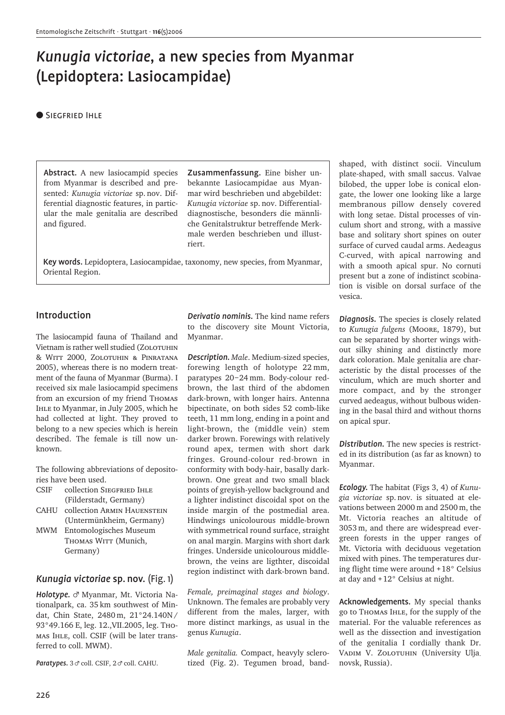# *Kunugia victoriae*, a new species from Myanmar (Lepidoptera: Lasiocampidae)

#### ● SIEGFRIED IHLE

Abstract. A new lasiocampid species from Myanmar is described and presented: *Kunugia victoriae* sp. nov. Differential diagnostic features, in particular the male genitalia are described and figured.

Zusammenfassung. Eine bisher unbekannte Lasiocampidae aus Myanmar wird beschrieben und abgebildet: *Kunugia victoriae* sp. nov. Differentialdiagnostische, besonders die männliche Genitalstruktur betreffende Merkmale werden beschrieben und illustriert.

Key words. Lepidoptera, Lasiocampidae, taxonomy, new species, from Myanmar, Oriental Region.

### Introduction

The lasiocampid fauna of Thailand and Vietnam is rather well studied (ZOLOTUHIN & Witt 2000, Zolotuhin & Pinratana 2005), whereas there is no modern treatment of the fauna of Myanmar (Burma). I received six male lasiocampid specimens from an excursion of my friend Thomas Ihle to Myanmar, in July 2005, which he had collected at light. They proved to belong to a new species which is herein described. The female is till now unknown.

The following abbreviations of depositories have been used.

- CSIF collection Siegfried Ihle (Filderstadt, Germany)
- CAHU collection Armin Hauenstein (Untermünkheim, Germany)
- MWM Entomologisches Museum THOMAS WITT (Munich, Germany)

### *Kunugia victoriae* sp. nov. (Fig. 1)

*Holotype.* & Myanmar, Mt. Victoria Nationalpark, ca. 35 km southwest of Mindat, Chin State, 2480 m, 21°24.140N / 93°49.166 E, leg. 12.,VII.2005, leg. Thomas Ihle, coll. CSIF (will be later transferred to coll. MWM).

Paratypes.  $3 \sigma$  coll. CSIF,  $2 \sigma$  coll. CAHU.

*Derivatio nominis.* The kind name refers to the discovery site Mount Victoria, Myanmar.

*Description. Male*. Medium-sized species, forewing length of holotype 22 mm, paratypes 20–24 mm. Body-colour redbrown, the last third of the abdomen dark-brown, with longer hairs. Antenna bipectinate, on both sides 52 comb-like teeth, 11 mm long, ending in a point and light-brown, the (middle vein) stem darker brown. Forewings with relatively round apex, termen with short dark fringes. Ground-colour red-brown in conformity with body-hair, basally darkbrown. One great and two small black points of greyish-yellow background and a lighter indistinct discoidal spot on the inside margin of the postmedial area. Hindwings unicolourous middle-brown with symmetrical round surface, straight on anal margin. Margins with short dark fringes. Underside unicolourous middlebrown, the veins are ligthter, discoidal region indistinct with dark-brown band.

*Female, preimaginal stages and biology*. Unknown. The females are probably very different from the males, larger, with more distinct markings, as usual in the genus *Kunugia*.

*Male genitalia.* Compact, heavyly sclerotized (Fig. 2). Tegumen broad, bandshaped, with distinct socii. Vinculum plate-shaped, with small saccus. Valvae bilobed, the upper lobe is conical elongate, the lower one looking like a large membranous pillow densely covered with long setae. Distal processes of vinculum short and strong, with a massive base and solitary short spines on outer surface of curved caudal arms. Aedeagus C-curved, with apical narrowing and with a smooth apical spur. No cornuti present but a zone of indistinct scobination is visible on dorsal surface of the vesica.

*Diagnosis.* The species is closely related to *Kunugia fulgens* (Moore, 1879), but can be separated by shorter wings without silky shining and distinctly more dark coloration. Male genitalia are characteristic by the distal processes of the vinculum, which are much shorter and more compact, and by the stronger curved aedeagus, without bulbous widening in the basal third and without thorns on apical spur.

*Distribution.* The new species is restricted in its distribution (as far as known) to Myanmar.

*Ecology.* The habitat (Figs 3, 4) of *Kunugia victoriae* sp. nov. is situated at elevations between 2000 m and 2500 m, the Mt. Victoria reaches an altitude of 3053 m, and there are widespread evergreen forests in the upper ranges of Mt. Victoria with deciduous vegetation mixed with pines. The temperatures during flight time were around +18° Celsius at day and +12° Celsius at night.

Acknowledgements. My special thanks go to Thomas Ihle, for the supply of the material. For the valuable references as well as the dissection and investigation of the genitalia I cordially thank Dr. VADIM V. ZOLOTUHIN (University Ulja novsk, Russia).